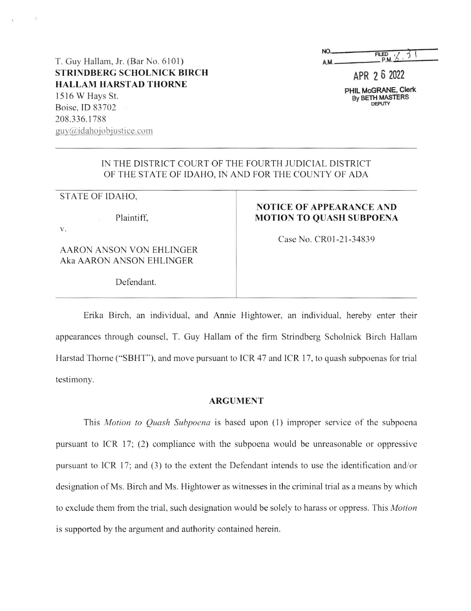| NO. | <b>FILED</b> |
|-----|--------------|
|     | $n+1$        |

PHIL McGRANE, Clerk

T. Guy Hallam, Jr. (Bar No. 6101) AM AM PM STRINDBERG SCHOLNICK BIRCH APR 2 6 2022<br>
HALLAM HARSTAD THORNE 1516 W Hays St. mag-mums "Web The Contract of the By BETH MASTERS" By BETH MASTERS By BETH MASTERS Boise. 1D 83702 208.336.1788  $guy@idahojobjustice.com$ 

## 1N THE DISTRICT COURT OF THE FOURTH JUDICIAL DISTRICT OF THE STATE OF IDAHO, IN AND FOR THE COUNTY OF ADA

## STATE OF IDAHO,

Plaintiff,

v.

AARON ANSON VON EHLINGER Aka AARON ANSON EHLINGER

## NOTICE OF APPEARANCE AND MOTION TO QUASH SUBPOENA

Case No. CR01-21—34839

Defendant.

Erika Birch, an individual, and Annie Hightower, an individual, hereby enter their appearances through counsel, T. Guy Hallam of the firm Strindberg Scholnick Birch Hallam Harstad Thome ("SBHT"), and move pursuant to ICR 47 and ICR l7, to quash subpoenas for trial testimony.

## ARGUMENT

This Motion to Quash Subpoena is based upon (1) improper service of the subpoena pursuant to ICR 17; (2) compliance with the subpoena would be unreasonable or oppressive pursuant to ICR 17; and (3) to the extent the Defendant intends to use the identification and/or designation of Ms. Birch and Ms. Hightower as witnesses in the criminal trial as a means by which to exclude them from the trial, such designation would be solely to harass or oppress. This Motion is supported by the argument and authority contained herein.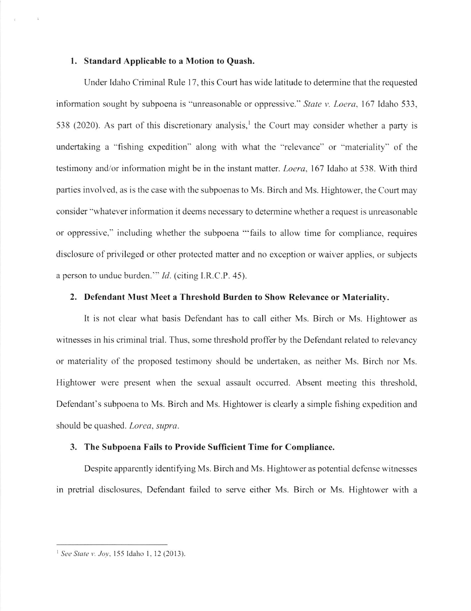#### 1. Standard Applicable to a Motion to Quash.

Under Idaho Criminal Rule l7, this Court has wide latitude to determine that the requested information sought by subpoena is "unreasonable or oppressive." *State v. Loera*, 167 Idaho 533, 538 (2020). As part of this discretionary analysis,<sup>1</sup> the Court may consider whether a party is undertaking a "fishing expedition" along with what the "relevance" or "materiality" of the testimony and/0r information might be in the instant matter. Loera, 167 Idaho at 538. With third parties involved, as is the case with the subpoenas to Ms. Birch and Ms. Hightower, the Court may consider "whatever information it deems necessary to determine whether a request is unreasonable or oppressive," including whether the subpoena "'fails to allow time for compliance, requires disclosure of privileged or other protected matter and no exception or waiver applies, or subjects a person to undue burden." *Id.* (citing I.R.C.P. 45).

#### 2. Defendant Must Meet a Threshold Burden to Show Relevance or Materiality.

It is not clear what basis Defendant has to call either Ms. Birch or Ms. Hightower as witnesses in his criminal trial. Thus, some threshold proffer by the Defendant related to relevancy or materiality of the proposed testimony should be undertaken, as neither Ms. Birch nor Ms. Hightower were present when the sexual assault occurred. Absent meeting this threshold, Defendant's subpoena to Ms. Birch and Ms. Hightower is clearly simple fishing expedition and should be quashed. Lorea, supra.

#### 3. The Subpoena Fails to Provide Sufficient Time for Compliance.

Despite apparently identifying Ms. Birch and Ms. Hightower as potential defense witnesses in pretrial disclosures, Defendant failed to serve either Ms. Birch or Ms. Hightower with

<sup>&</sup>lt;sup>1</sup> See State v. Joy, 155 Idaho 1, 12 (2013).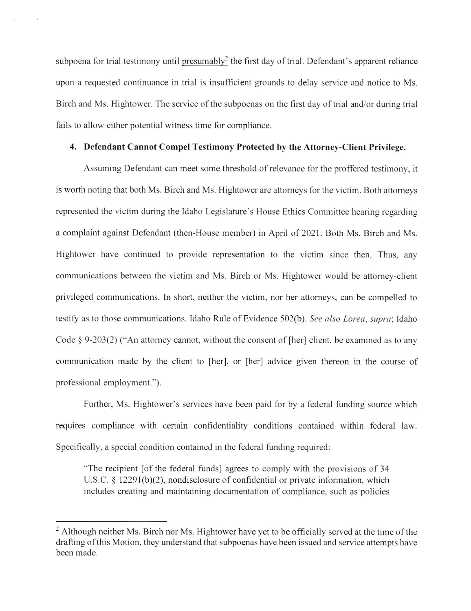subpoena for trial testimony until presumably<sup>2</sup> the first day of trial. Defendant's apparent reliance upon a requested continuance in trial is insufficient grounds to delay service and notice to Ms. Birch and Ms. Hightower. The service of the subpoenas on the first day of trial and/or during trial fails to allow either potential witness time for compliance.

## 4. Defendant Cannot Compel Testimony Protected by the Attorney-Client Privilege.

Assuming Defendant can meet some threshold of relevance for the proffered testimony, it is worth noting that both Ms. Birch and Ms. Hightower are attorneys for the victim. Both attorneys represented the victim during the Idaho Legislature's House Ethics Committee hearing regarding complaint against Defendant (then-House member) in April of 2021. Both Ms. Birch and Ms. Hightower have continued to provide representation to the victim since then. Thus, any communications between the victim and Ms. Birch or Ms. Hightower would be attomey-client privileged communications. In short, neither the victim, nor her attorneys, can be compelled to testify as to those communications. Idaho Rule of Evidence 502(b). See also Lorea, supra; Idaho Code  $\S 9-203(2)$  ("An attorney cannot, without the consent of [her] client, be examined as to any communication made by the client to [her], or [her] advice given thereon in the course of professional employment.").

Further, Ms. Hightower's services have been paid for by a federal funding source which requires compliance with certain confidentiality conditions contained within federal law. Specifically, a special condition contained in the federal funding required:

"The recipient [of the federal funds] agrees to comply with the provisions of 34 U.S.C.  $\S$  12291(b)(2), nondisclosure of confidential or private information, which includes creating and maintaining documentation of compliance, such as policies

Although neither Ms. Birch nor Ms. Hightower have yet to be officially served at the time ofthe drafiing ofthis Motion, they understand that subpoenas have been issued and service attempts have been made.